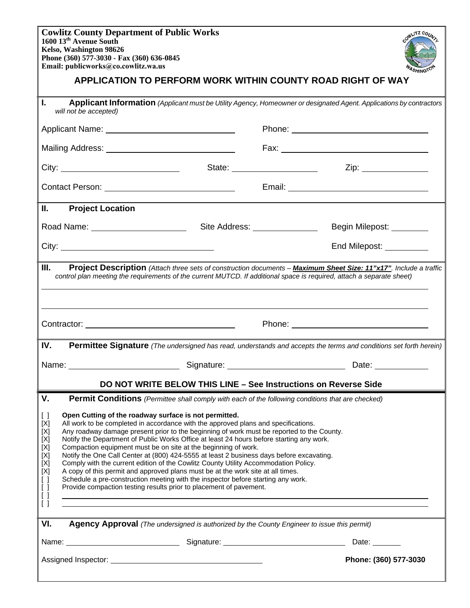**Cowlitz County Department of Public Works 1600 13th Avenue South Kelso, Washington 98626 Phone (360) 577-3030 - Fax (360) 636-0845 Email: publicworks@co.cowlitz.wa.us**



| ешан. рибнемогкз@соломпи.ма.из<br>"ASHINGTO"<br>APPLICATION TO PERFORM WORK WITHIN COUNTY ROAD RIGHT OF WAY                                                                                                                                                                                                                                                                                                                                                                                                                                                                                                                                                                                                                                                                                                                                                                                                                                                                                                                                                                                                        |                                      |                                                                                                                     |
|--------------------------------------------------------------------------------------------------------------------------------------------------------------------------------------------------------------------------------------------------------------------------------------------------------------------------------------------------------------------------------------------------------------------------------------------------------------------------------------------------------------------------------------------------------------------------------------------------------------------------------------------------------------------------------------------------------------------------------------------------------------------------------------------------------------------------------------------------------------------------------------------------------------------------------------------------------------------------------------------------------------------------------------------------------------------------------------------------------------------|--------------------------------------|---------------------------------------------------------------------------------------------------------------------|
| L.                                                                                                                                                                                                                                                                                                                                                                                                                                                                                                                                                                                                                                                                                                                                                                                                                                                                                                                                                                                                                                                                                                                 | will not be accepted)                | Applicant Information (Applicant must be Utility Agency, Homeowner or designated Agent. Applications by contractors |
|                                                                                                                                                                                                                                                                                                                                                                                                                                                                                                                                                                                                                                                                                                                                                                                                                                                                                                                                                                                                                                                                                                                    |                                      |                                                                                                                     |
|                                                                                                                                                                                                                                                                                                                                                                                                                                                                                                                                                                                                                                                                                                                                                                                                                                                                                                                                                                                                                                                                                                                    |                                      |                                                                                                                     |
|                                                                                                                                                                                                                                                                                                                                                                                                                                                                                                                                                                                                                                                                                                                                                                                                                                                                                                                                                                                                                                                                                                                    |                                      | State: ________________________<br>Zip: _______________                                                             |
|                                                                                                                                                                                                                                                                                                                                                                                                                                                                                                                                                                                                                                                                                                                                                                                                                                                                                                                                                                                                                                                                                                                    |                                      |                                                                                                                     |
| Ⅱ.                                                                                                                                                                                                                                                                                                                                                                                                                                                                                                                                                                                                                                                                                                                                                                                                                                                                                                                                                                                                                                                                                                                 | <b>Project Location</b>              |                                                                                                                     |
|                                                                                                                                                                                                                                                                                                                                                                                                                                                                                                                                                                                                                                                                                                                                                                                                                                                                                                                                                                                                                                                                                                                    | Road Name: _________________________ | Site Address: ________________<br>Begin Milepost: ________                                                          |
|                                                                                                                                                                                                                                                                                                                                                                                                                                                                                                                                                                                                                                                                                                                                                                                                                                                                                                                                                                                                                                                                                                                    | City:                                | End Milepost: __________                                                                                            |
| Ш.<br>Project Description (Attach three sets of construction documents - Maximum Sheet Size: 11"x17". Include a traffic<br>control plan meeting the requirements of the current MUTCD. If additional space is required, attach a separate sheet)                                                                                                                                                                                                                                                                                                                                                                                                                                                                                                                                                                                                                                                                                                                                                                                                                                                                   |                                      |                                                                                                                     |
|                                                                                                                                                                                                                                                                                                                                                                                                                                                                                                                                                                                                                                                                                                                                                                                                                                                                                                                                                                                                                                                                                                                    |                                      |                                                                                                                     |
| IV.                                                                                                                                                                                                                                                                                                                                                                                                                                                                                                                                                                                                                                                                                                                                                                                                                                                                                                                                                                                                                                                                                                                |                                      | Permittee Signature (The undersigned has read, understands and accepts the terms and conditions set forth herein)   |
|                                                                                                                                                                                                                                                                                                                                                                                                                                                                                                                                                                                                                                                                                                                                                                                                                                                                                                                                                                                                                                                                                                                    |                                      |                                                                                                                     |
| DO NOT WRITE BELOW THIS LINE - See Instructions on Reverse Side                                                                                                                                                                                                                                                                                                                                                                                                                                                                                                                                                                                                                                                                                                                                                                                                                                                                                                                                                                                                                                                    |                                      |                                                                                                                     |
| V.<br><b>Permit Conditions</b> (Permittee shall comply with each of the following conditions that are checked)<br>Open Cutting of the roadway surface is not permitted.<br>$\lceil$ $\rceil$<br>All work to be completed in accordance with the approved plans and specifications.<br>[X]<br>Any roadway damage present prior to the beginning of work must be reported to the County.<br>[X]<br>Notify the Department of Public Works Office at least 24 hours before starting any work.<br>[X]<br>Compaction equipment must be on site at the beginning of work.<br>[X]<br>Notify the One Call Center at (800) 424-5555 at least 2 business days before excavating.<br>[X]<br>Comply with the current edition of the Cowlitz County Utility Accommodation Policy.<br>[X]<br>[X]<br>A copy of this permit and approved plans must be at the work site at all times.<br>Schedule a pre-construction meeting with the inspector before starting any work.<br>$\lceil$ $\rceil$<br>$\lceil$ $\rceil$<br>Provide compaction testing results prior to placement of pavement.<br>$\lceil$ $\rceil$<br>$\lceil$ $\rceil$ |                                      |                                                                                                                     |
| VI.<br>Agency Approval (The undersigned is authorized by the County Engineer to issue this permit)                                                                                                                                                                                                                                                                                                                                                                                                                                                                                                                                                                                                                                                                                                                                                                                                                                                                                                                                                                                                                 |                                      |                                                                                                                     |
|                                                                                                                                                                                                                                                                                                                                                                                                                                                                                                                                                                                                                                                                                                                                                                                                                                                                                                                                                                                                                                                                                                                    |                                      | Date: $\_\_$                                                                                                        |
| Phone: (360) 577-3030                                                                                                                                                                                                                                                                                                                                                                                                                                                                                                                                                                                                                                                                                                                                                                                                                                                                                                                                                                                                                                                                                              |                                      |                                                                                                                     |